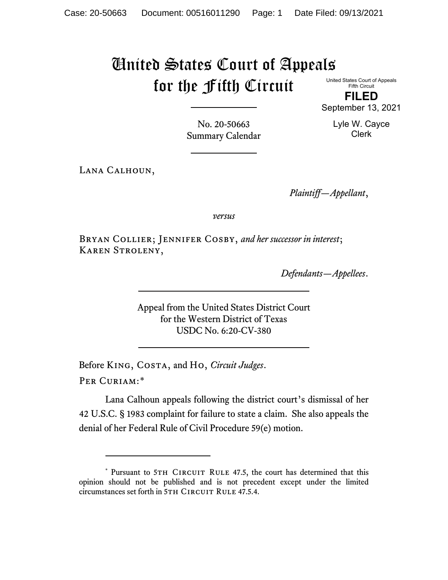## United States Court of Appeals for the Fifth Circuit

United States Court of Appeals Fifth Circuit

**FILED** September 13, 2021

Lyle W. Cayce

No. 20-50663 Summary Calendar

Lana Calhoun,

Clerk

*Plaintiff—Appellant*,

*versus*

Bryan Collier; Jennifer Cosby, *and her successor in interest*; Karen Stroleny,

*Defendants—Appellees*.

Appeal from the United States District Court for the Western District of Texas USDC No. 6:20-CV-380

Before King, Costa, and Ho, *Circuit Judges*.

Per Curiam:[\\*](#page-0-0)

Lana Calhoun appeals following the district court's dismissal of her 42 U.S.C. § 1983 complaint for failure to state a claim. She also appeals the denial of her Federal Rule of Civil Procedure 59(e) motion.

<span id="page-0-0"></span><sup>\*</sup> Pursuant to 5TH CIRCUIT RULE 47.5, the court has determined that this opinion should not be published and is not precedent except under the limited circumstances set forth in 5TH CIRCUIT RULE 47.5.4.